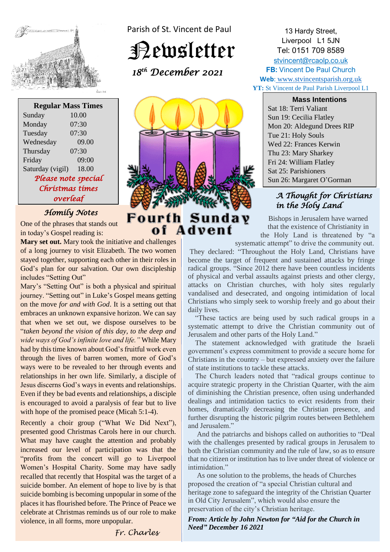

**Regular Mass Times** Sunday 10.00 Monday 07:30 Tuesday 07:30 Wednesday 09.00 Thursday 07:30 Friday 09:00 Saturday (vigil) 18.00 *Please note special Christmas times overleaf* 

## *Homily Notes*

One of the phrases that stands out in today's Gospel reading is:

**Mary set out.** Mary took the initiative and challenges of a long journey to visit Elizabeth. The two women stayed together, supporting each other in their roles in God's plan for our salvation. Our own discipleship includes "Setting Out"

Mary's "Setting Out" is both a physical and spiritual journey. "Setting out" in Luke's Gospel means getting on the move *for and with God*. It is a setting out that embraces an unknown expansive horizon. We can say that when we set out, we dispose ourselves to be "*taken beyond the vision of this day, to the deep and wide ways of God's infinite love and life."* While Mary had by this time known about God's fruitful work even through the lives of barren women, more of God's ways were to be revealed to her through events and relationships in her own life. Similarly, a disciple of Jesus discerns God's ways in events and relationships. Even if they be bad events and relationships, a disciple is encouraged to avoid a paralysis of fear but to live with hope of the promised peace (Micah 5:1-4).

Recently a choir group ("What We Did Next"), presented good Christmas Carols here in our church. What may have caught the attention and probably increased our level of participation was that the "profits from the concert will go to Liverpool Women's Hospital Charity. Some may have sadly recalled that recently that Hospital was the target of a suicide bomber. An element of hope to live by is that suicide bombing is becoming unpopular in some of the places it has flourished before. The Prince of Peace we celebrate at Christmas reminds us of our role to make violence, in all forms, more unpopular.



Parish of St. Vincent de Paul

Newsletter

 *18 th December 2021* 

# Fourth of Advent

13 Hardy Street, Liverpool L1 5JN Tel: 0151 709 8589 [stvincent@rcaolp.co.uk](mailto:stvincent@rcaolp.co.uk) **FB:** Vincent De Paul Church **Web**: www.stvincentsparish.org.uk **YT:** St Vincent de Paul Parish Liverpool L1

**Mass Intentions** Sat 18: Terri Valiant Sun 19: Cecilia Flatley Mon 20: Aldegund Drees RIP Tue 21: Holy Souls Wed 22: Frances Kerwin Thu 23: Mary Sharkey Fri 24: William Flatley Sat 25: Parishioners Sun 26: Margaret O'Gorman

### *A Thought for Christians in the Holy Land*

**Sunday** Bishops in Jerusalem have warned that the existence of Christianity in the Holy Land is threatened by "a

systematic attempt" to drive the community out. They declared: "Throughout the Holy Land, Christians have become the target of frequent and sustained attacks by fringe radical groups. "Since 2012 there have been countless incidents of physical and verbal assaults against priests and other clergy, attacks on Christian churches, with holy sites regularly vandalised and desecrated, and ongoing intimidation of local Christians who simply seek to worship freely and go about their daily lives.

 "These tactics are being used by such radical groups in a systematic attempt to drive the Christian community out of Jerusalem and other parts of the Holy Land."

 The statement acknowledged with gratitude the Israeli government's express commitment to provide a secure home for Christians in the country – but expressed anxiety over the failure of state institutions to tackle these attacks.

 The Church leaders noted that "radical groups continue to acquire strategic property in the Christian Quarter, with the aim of diminishing the Christian presence, often using underhanded dealings and intimidation tactics to evict residents from their homes, dramatically decreasing the Christian presence, and further disrupting the historic pilgrim routes between Bethlehem and Jerusalem<sup>"</sup>

 And the patriarchs and bishops called on authorities to "Deal with the challenges presented by radical groups in Jerusalem to both the Christian community and the rule of law, so as to ensure that no citizen or institution has to live under threat of violence or intimidation."

 As one solution to the problems, the heads of Churches proposed the creation of "a special Christian cultural and heritage zone to safeguard the integrity of the Christian Quarter in Old City Jerusalem", which would also ensure the preservation of the city's Christian heritage.

*From: Article by John Newton for "Aid for the Church in Need" December 16 2021*

*Fr. Charles*